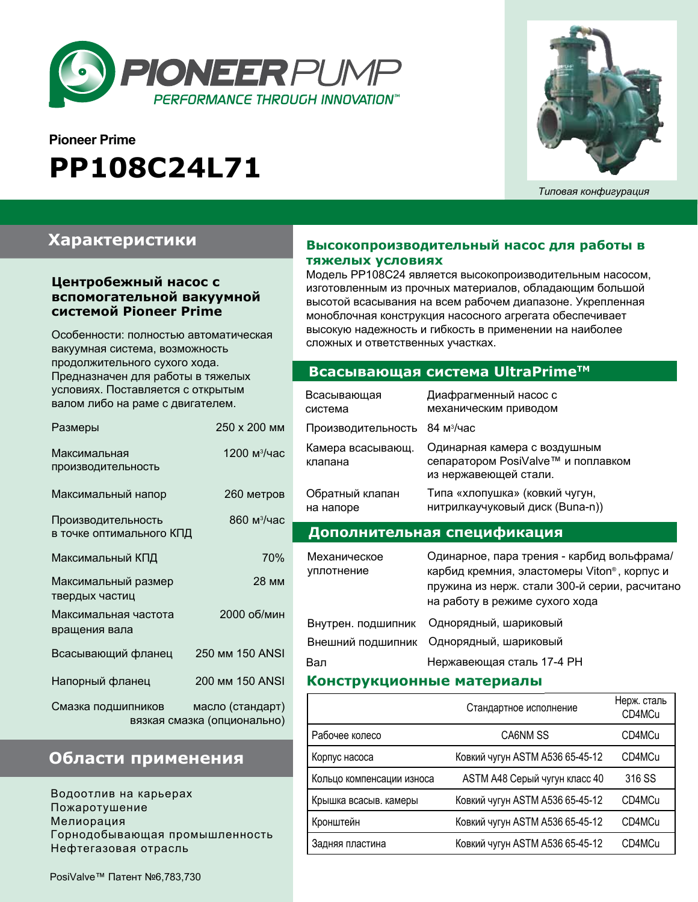

# **Pioneer Prime PP108C24L71**



*Типовая конфигурация*

# **Характеристики**

## **Центробежный насос с вспомогательной вакуумной системой Pioneer Prime**

Особенности: полностью автоматическая вакуумная система, возможность продолжительного сухого хода. Предназначен для работы в тяжелых условиях. Поставляется с открытым валом либо на раме с двигателем.

| Размеры                                        | 250 х 200 мм                                    |
|------------------------------------------------|-------------------------------------------------|
| Максимальная<br>производительность             | 1200 м <sup>3</sup> /час                        |
| Максимальный напор                             | 260 метров                                      |
| Производительность<br>в точке оптимального КПД | 860 м <sup>3</sup> /час                         |
| Максимальный КПД                               | 70%                                             |
| Максимальный размер<br>твердых частиц          | 28 мм                                           |
| Максимальная частота<br>вращения вала          | 2000 об/мин                                     |
| Всасывающий фланец                             | 250 MM 150 ANSI                                 |
| Напорный фланец                                | 200 MM 150 ANSI                                 |
| Смазка подшипников                             | масло (стандарт)<br>вязкая смазка (опционально) |

# **Области применения**

Водоотлив на карьерах Пожаротушение Мелиорация Горнодобывающая промышленность Нефтегазовая отрасль

### **Высокопроизводительный насос для работы в тяжелых условиях**

Модель PP108C24 является высокопроизводительным насосом, изготовленным из прочных материалов, обладающим большой высотой всасывания на всем рабочем диапазоне. Укрепленная моноблочная конструкция насосного агрегата обеспечивает высокую надежность и гибкость в применении на наиболее сложных и ответственных участках.

## **Всасывающая система UltraPrimeTM**

| Всасывающая<br>система       | Диафрагменный насос с<br>механическим приводом                                                                                                                               |  |  |
|------------------------------|------------------------------------------------------------------------------------------------------------------------------------------------------------------------------|--|--|
| Производительность           | $84\ \mathrm{M}^3/\mathrm{M}$ ас                                                                                                                                             |  |  |
| Камера всасывающ.<br>клапана | Одинарная камера с воздушным<br>сепаратором PosiValve™ и поплавком<br>из нержавеющей стали.                                                                                  |  |  |
| Обратный клапан<br>на напоре | Типа «хлопушка» (ковкий чугун,<br>нитрилкаучуковый диск (Buna-n))                                                                                                            |  |  |
| Дополнительная спецификация  |                                                                                                                                                                              |  |  |
| Механическое<br>уплотнение   | Одинарное, пара трения - карбид вольфрама/<br>карбид кремния, эластомеры Viton®, корпус и<br>пружина из нерж. стали 300-й серии, расчитано<br>на работу в режиме сухого хода |  |  |
| Внутрен. подшипник           | Однорядный, шариковый                                                                                                                                                        |  |  |
| Внешний подшипник            | Однорядный, шариковый                                                                                                                                                        |  |  |
| Вал                          | Нержавеющая сталь 17-4 РН                                                                                                                                                    |  |  |

#### **Конструкционные материалы**

|                           | Стандартное исполнение          | Нерж. сталь<br>CD4MCu |
|---------------------------|---------------------------------|-----------------------|
| Рабочее колесо            | CA6NM SS                        | CD4MCu                |
| Корпус насоса             | Ковкий чугун ASTM A536 65-45-12 | CD4MCu                |
| Кольцо компенсации износа | ASTM A48 Серый чугун класс 40   | 316 SS                |
| Крышка всасыв. камеры     | Ковкий чугун ASTM A536 65-45-12 | CD4MCu                |
| Кронштейн                 | Ковкий чугун ASTM A536 65-45-12 | CD4MCu                |
| Задняя пластина           | Ковкий чугун ASTM A536 65-45-12 | CD4MCu                |